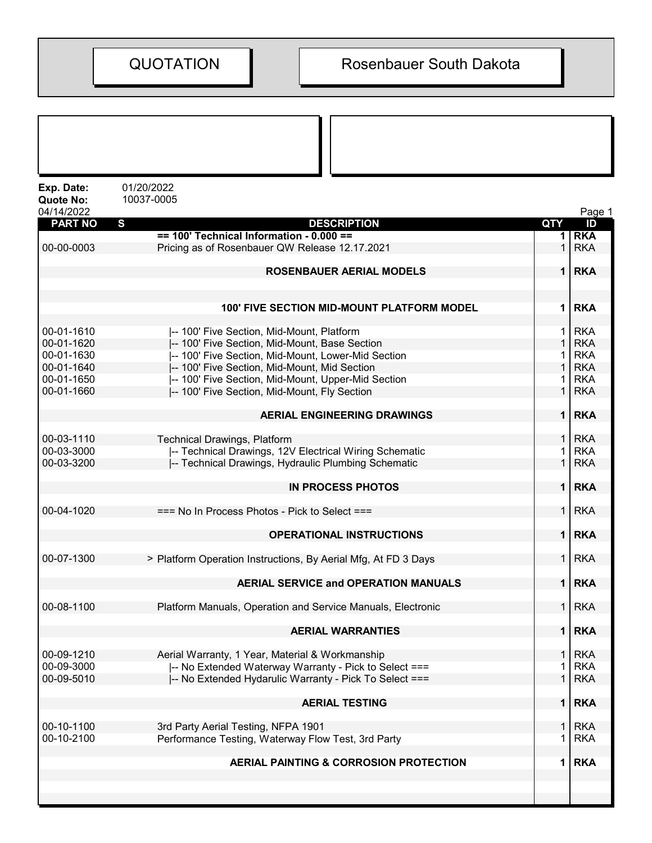| Exp. Date:<br><b>Quote No:</b> | 01/20/2022<br>10037-0005                                       |                |            |
|--------------------------------|----------------------------------------------------------------|----------------|------------|
| 04/14/2022                     |                                                                |                | Page 1     |
| <b>PART NO</b>                 | S<br><b>DESCRIPTION</b>                                        | <b>QTY</b>     | ID         |
|                                | $== 100'$ Technical Information - 0.000 ==                     |                | <b>RKA</b> |
| 00-00-0003                     | Pricing as of Rosenbauer QW Release 12.17.2021                 |                | <b>RKA</b> |
|                                | <b>ROSENBAUER AERIAL MODELS</b>                                | 1              | <b>RKA</b> |
|                                | 100' FIVE SECTION MID-MOUNT PLATFORM MODEL                     | 1              | <b>RKA</b> |
| 00-01-1610                     | -- 100' Five Section, Mid-Mount, Platform                      | 1.             | <b>RKA</b> |
| 00-01-1620                     | -- 100' Five Section, Mid-Mount, Base Section                  | $\mathbf{1}$   | <b>RKA</b> |
| 00-01-1630                     | -- 100' Five Section, Mid-Mount, Lower-Mid Section             |                | <b>RKA</b> |
| 00-01-1640                     | I-- 100' Five Section, Mid-Mount, Mid Section                  |                | <b>RKA</b> |
| 00-01-1650                     | -- 100' Five Section, Mid-Mount, Upper-Mid Section             |                | <b>RKA</b> |
| 00-01-1660                     | -- 100' Five Section, Mid-Mount, Fly Section                   |                | <b>RKA</b> |
|                                | <b>AERIAL ENGINEERING DRAWINGS</b>                             | $\mathbf 1$    | <b>RKA</b> |
|                                |                                                                |                |            |
| 00-03-1110                     | <b>Technical Drawings, Platform</b>                            | 1 <sup>1</sup> | <b>RKA</b> |
| 00-03-3000                     | -- Technical Drawings, 12V Electrical Wiring Schematic         |                | <b>RKA</b> |
| 00-03-3200                     | -- Technical Drawings, Hydraulic Plumbing Schematic            | 1              | <b>RKA</b> |
|                                | <b>IN PROCESS PHOTOS</b>                                       | 1 <sup>1</sup> | <b>RKA</b> |
| 00-04-1020                     | $==$ No In Process Photos - Pick to Select $==$                | 1 <sup>1</sup> | <b>RKA</b> |
|                                | <b>OPERATIONAL INSTRUCTIONS</b>                                | 1 <sup>1</sup> | <b>RKA</b> |
| 00-07-1300                     | > Platform Operation Instructions, By Aerial Mfg, At FD 3 Days | 1 <sup>1</sup> | <b>RKA</b> |
|                                | <b>AERIAL SERVICE and OPERATION MANUALS</b>                    | 1 <sup>1</sup> | <b>RKA</b> |
| 00-08-1100                     | Platform Manuals, Operation and Service Manuals, Electronic    | $\mathbf 1$    | <b>RKA</b> |
|                                | <b>AERIAL WARRANTIES</b>                                       | 1 <sup>1</sup> | <b>RKA</b> |
| 00-09-1210                     | Aerial Warranty, 1 Year, Material & Workmanship                | 1              | <b>RKA</b> |
| 00-09-3000                     | -- No Extended Waterway Warranty - Pick to Select ===          |                | <b>RKA</b> |
| 00-09-5010                     | -- No Extended Hydarulic Warranty - Pick To Select ===         |                | <b>RKA</b> |
|                                | <b>AERIAL TESTING</b>                                          | $\mathbf 1$    | <b>RKA</b> |
|                                |                                                                |                |            |
| 00-10-1100                     | 3rd Party Aerial Testing, NFPA 1901                            | 1              | <b>RKA</b> |
| 00-10-2100                     | Performance Testing, Waterway Flow Test, 3rd Party             |                | <b>RKA</b> |
|                                | AERIAL PAINTING & CORROSION PROTECTION                         | 1              | <b>RKA</b> |
|                                |                                                                |                |            |
|                                |                                                                |                |            |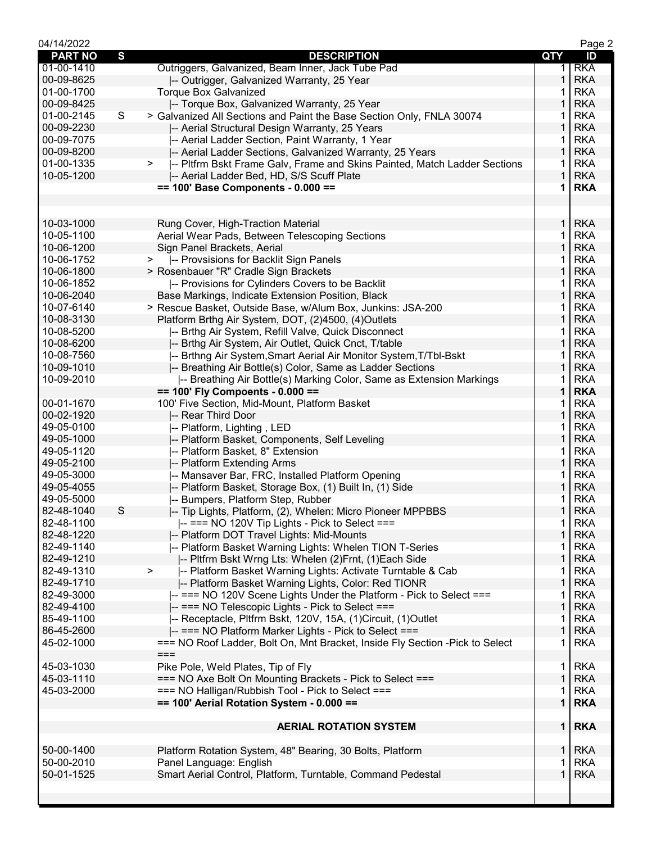| 04/14/2022     |   |                                                                                |                | Page 2     |
|----------------|---|--------------------------------------------------------------------------------|----------------|------------|
| <b>PART NO</b> | S | <b>DESCRIPTION</b>                                                             | <b>QTY</b>     | ID         |
| 01-00-1410     |   | Outriggers, Galvanized, Beam Inner, Jack Tube Pad                              | 1.             | <b>RKA</b> |
| 00-09-8625     |   | -- Outrigger, Galvanized Warranty, 25 Year                                     | 1              | <b>RKA</b> |
| 01-00-1700     |   | <b>Torque Box Galvanized</b>                                                   |                | <b>RKA</b> |
| 00-09-8425     |   | -- Torque Box, Galvanized Warranty, 25 Year                                    |                | <b>RKA</b> |
| 01-00-2145     | S | > Galvanized All Sections and Paint the Base Section Only, FNLA 30074          |                | <b>RKA</b> |
| 00-09-2230     |   | -- Aerial Structural Design Warranty, 25 Years                                 | 1              | <b>RKA</b> |
| 00-09-7075     |   | -- Aerial Ladder Section, Paint Warranty, 1 Year                               | 1              | <b>RKA</b> |
| 00-09-8200     |   | -- Aerial Ladder Sections, Galvanized Warranty, 25 Years                       | 1              | <b>RKA</b> |
| 01-00-1335     |   | -- Pltfrm Bskt Frame Galv, Frame and Skins Painted, Match Ladder Sections<br>> | 1              | <b>RKA</b> |
| 10-05-1200     |   | -- Aerial Ladder Bed, HD, S/S Scuff Plate                                      | 1              | <b>RKA</b> |
|                |   | $== 100'$ Base Components - 0.000 ==                                           | 1              | <b>RKA</b> |
|                |   |                                                                                |                |            |
|                |   |                                                                                |                |            |
| 10-03-1000     |   | Rung Cover, High-Traction Material                                             | 1.             | <b>RKA</b> |
| 10-05-1100     |   | Aerial Wear Pads, Between Telescoping Sections                                 | 1              | <b>RKA</b> |
| 10-06-1200     |   | Sign Panel Brackets, Aerial                                                    | 1              | <b>RKA</b> |
| 10-06-1752     |   | -- Provsisions for Backlit Sign Panels<br>>                                    | 1              | <b>RKA</b> |
| 10-06-1800     |   | > Rosenbauer "R" Cradle Sign Brackets                                          | 1              | <b>RKA</b> |
| 10-06-1852     |   | -- Provisions for Cylinders Covers to be Backlit                               | 1              | <b>RKA</b> |
| 10-06-2040     |   | Base Markings, Indicate Extension Position, Black                              | 1              | <b>RKA</b> |
| 10-07-6140     |   | > Rescue Basket, Outside Base, w/Alum Box, Junkins: JSA-200                    | 1              | <b>RKA</b> |
| 10-08-3130     |   |                                                                                | 1              | <b>RKA</b> |
| 10-08-5200     |   | Platform Brthg Air System, DOT, (2)4500, (4)Outlets                            | 1              | <b>RKA</b> |
|                |   | -- Brthg Air System, Refill Valve, Quick Disconnect                            |                |            |
| 10-08-6200     |   | -- Brthg Air System, Air Outlet, Quick Cnct, T/table                           | 1              | <b>RKA</b> |
| 10-08-7560     |   | -- Brthng Air System, Smart Aerial Air Monitor System, T/Tbl-Bskt              | 1              | <b>RKA</b> |
| 10-09-1010     |   | -- Breathing Air Bottle(s) Color, Same as Ladder Sections                      | 1              | <b>RKA</b> |
| 10-09-2010     |   | -- Breathing Air Bottle(s) Marking Color, Same as Extension Markings           |                | <b>RKA</b> |
|                |   | $== 100'$ Fly Compoents - 0.000 ==                                             | 1              | <b>RKA</b> |
| 00-01-1670     |   | 100' Five Section, Mid-Mount, Platform Basket                                  |                | <b>RKA</b> |
| 00-02-1920     |   | -- Rear Third Door                                                             | 1              | <b>RKA</b> |
| 49-05-0100     |   | -- Platform, Lighting, LED                                                     | 1              | <b>RKA</b> |
| 49-05-1000     |   | -- Platform Basket, Components, Self Leveling                                  | 1              | <b>RKA</b> |
| 49-05-1120     |   | -- Platform Basket, 8" Extension                                               | 1              | <b>RKA</b> |
| 49-05-2100     |   | -- Platform Extending Arms                                                     | 1              | <b>RKA</b> |
| 49-05-3000     |   | -- Mansaver Bar, FRC, Installed Platform Opening                               | 1              | <b>RKA</b> |
| 49-05-4055     |   | -- Platform Basket, Storage Box, (1) Built In, (1) Side                        | 1              | <b>RKA</b> |
| 49-05-5000     |   | -- Bumpers, Platform Step, Rubber                                              |                | <b>RKA</b> |
| 82-48-1040     | S | -- Tip Lights, Platform, (2), Whelen: Micro Pioneer MPPBBS                     | 1              | <b>RKA</b> |
| 82-48-1100     |   | -- === NO 120V Tip Lights - Pick to Select ===                                 | 1              | <b>RKA</b> |
| 82-48-1220     |   | -- Platform DOT Travel Lights: Mid-Mounts                                      | 1              | <b>RKA</b> |
| 82-49-1140     |   | -- Platform Basket Warning Lights: Whelen TION T-Series                        | 1              | <b>RKA</b> |
| 82-49-1210     |   | -- Pltfrm Bskt Wrng Lts: Whelen (2)Frnt, (1)Each Side                          | 1              | <b>RKA</b> |
| 82-49-1310     |   | -- Platform Basket Warning Lights: Activate Turntable & Cab<br>>               | 1              | <b>RKA</b> |
| 82-49-1710     |   | -- Platform Basket Warning Lights, Color: Red TIONR                            | 1              | <b>RKA</b> |
| 82-49-3000     |   | -- === NO 120V Scene Lights Under the Platform - Pick to Select ===            | 1              | <b>RKA</b> |
| 82-49-4100     |   | -- === NO Telescopic Lights - Pick to Select ===                               | 1              | <b>RKA</b> |
| 85-49-1100     |   | -- Receptacle, Pltfrm Bskt, 120V, 15A, (1)Circuit, (1)Outlet                   | 1              | <b>RKA</b> |
| 86-45-2600     |   | -- === NO Platform Marker Lights - Pick to Select ===                          | 1              | <b>RKA</b> |
| 45-02-1000     |   | === NO Roof Ladder, Bolt On, Mnt Bracket, Inside Fly Section - Pick to Select  | 1              | <b>RKA</b> |
|                |   | $==$                                                                           |                |            |
| 45-03-1030     |   | Pike Pole, Weld Plates, Tip of Fly                                             | 1.             | <b>RKA</b> |
| 45-03-1110     |   | === NO Axe Bolt On Mounting Brackets - Pick to Select ===                      | 1              | <b>RKA</b> |
| 45-03-2000     |   | === NO Halligan/Rubbish Tool - Pick to Select ===                              | 1              | <b>RKA</b> |
|                |   | $== 100'$ Aerial Rotation System - 0.000 ==                                    | 1              | <b>RKA</b> |
|                |   |                                                                                |                |            |
|                |   |                                                                                |                |            |
|                |   | <b>AERIAL ROTATION SYSTEM</b>                                                  | 1 <sup>1</sup> | <b>RKA</b> |
|                |   |                                                                                |                |            |
| 50-00-1400     |   | Platform Rotation System, 48" Bearing, 30 Bolts, Platform                      | $\mathbf{1}$   | <b>RKA</b> |
| 50-00-2010     |   | Panel Language: English                                                        |                | <b>RKA</b> |
| 50-01-1525     |   | Smart Aerial Control, Platform, Turntable, Command Pedestal                    | 1              | <b>RKA</b> |
|                |   |                                                                                |                |            |
|                |   |                                                                                |                |            |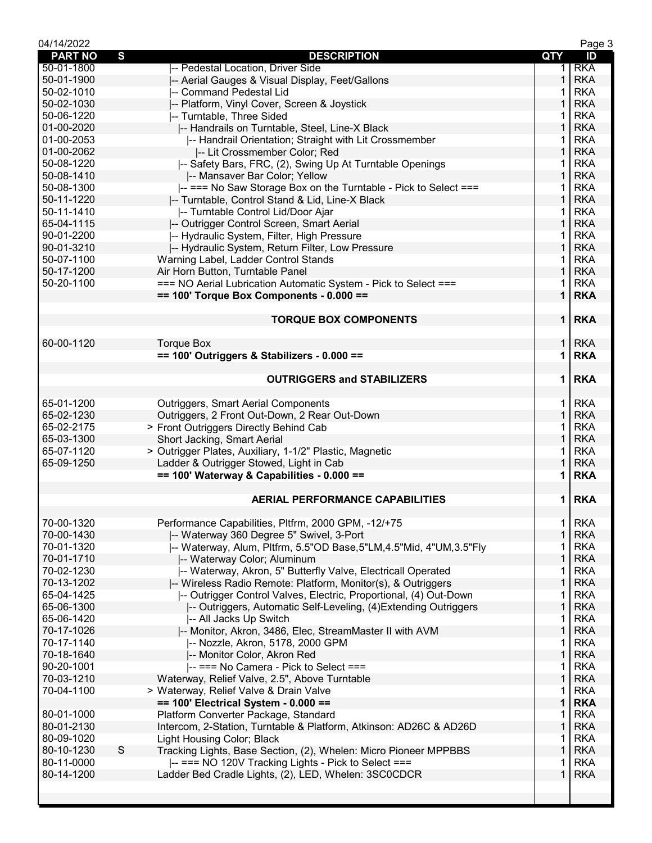| 04/14/2022     |                                                                              |                | Page 3     |
|----------------|------------------------------------------------------------------------------|----------------|------------|
| <b>PART NO</b> | S<br><b>DESCRIPTION</b>                                                      | QTY            | ID         |
| 50-01-1800     | -- Pedestal Location, Driver Side                                            | 1.             | <b>RKA</b> |
| 50-01-1900     | -- Aerial Gauges & Visual Display, Feet/Gallons                              | 1              | <b>RKA</b> |
| 50-02-1010     | -- Command Pedestal Lid                                                      |                | <b>RKA</b> |
| 50-02-1030     | -- Platform, Vinyl Cover, Screen & Joystick                                  | 1              | <b>RKA</b> |
| 50-06-1220     | -- Turntable, Three Sided                                                    | 1              | <b>RKA</b> |
|                |                                                                              | $\mathbf{1}$   |            |
| 01-00-2020     | -- Handrails on Turntable, Steel, Line-X Black                               |                | <b>RKA</b> |
| 01-00-2053     | -- Handrail Orientation; Straight with Lit Crossmember                       | 1.             | <b>RKA</b> |
| 01-00-2062     | -- Lit Crossmember Color; Red                                                | $\mathbf{1}$   | <b>RKA</b> |
| 50-08-1220     | -- Safety Bars, FRC, (2), Swing Up At Turntable Openings                     | 1              | <b>RKA</b> |
| 50-08-1410     | -- Mansaver Bar Color; Yellow                                                | 1              | <b>RKA</b> |
| 50-08-1300     | -- === No Saw Storage Box on the Turntable - Pick to Select ===              | 1              | <b>RKA</b> |
| 50-11-1220     | -- Turntable, Control Stand & Lid, Line-X Black                              | 1              | <b>RKA</b> |
| 50-11-1410     | -- Turntable Control Lid/Door Ajar                                           | 1.             | <b>RKA</b> |
| 65-04-1115     | -- Outrigger Control Screen, Smart Aerial                                    | $\mathbf{1}$   | <b>RKA</b> |
| 90-01-2200     | -- Hydraulic System, Filter, High Pressure                                   | 1              | <b>RKA</b> |
| 90-01-3210     |                                                                              | $\mathbf{1}$   | <b>RKA</b> |
|                | -- Hydraulic System, Return Filter, Low Pressure                             |                |            |
| 50-07-1100     | Warning Label, Ladder Control Stands                                         | 1              | <b>RKA</b> |
| 50-17-1200     | Air Horn Button, Turntable Panel                                             | 1              | <b>RKA</b> |
| 50-20-1100     | === NO Aerial Lubrication Automatic System - Pick to Select ===              | 1              | <b>RKA</b> |
|                | $== 100'$ Torque Box Components - 0.000 ==                                   | $\mathbf 1$    | <b>RKA</b> |
|                |                                                                              |                |            |
|                | <b>TORQUE BOX COMPONENTS</b>                                                 | 1 <sup>1</sup> | <b>RKA</b> |
|                |                                                                              |                |            |
| 60-00-1120     | <b>Torque Box</b>                                                            | $\mathbf 1$    | <b>RKA</b> |
|                | $== 100'$ Outriggers & Stabilizers - 0.000 ==                                | 1              | <b>RKA</b> |
|                |                                                                              |                |            |
|                | <b>OUTRIGGERS and STABILIZERS</b>                                            | $\mathbf 1$    | <b>RKA</b> |
|                |                                                                              |                |            |
| 65-01-1200     | <b>Outriggers, Smart Aerial Components</b>                                   | $\mathbf{1}$   | <b>RKA</b> |
| 65-02-1230     | Outriggers, 2 Front Out-Down, 2 Rear Out-Down                                | $\mathbf{1}$   | <b>RKA</b> |
|                |                                                                              |                |            |
| 65-02-2175     | > Front Outriggers Directly Behind Cab                                       | $\mathbf 1$    | <b>RKA</b> |
| 65-03-1300     | Short Jacking, Smart Aerial                                                  | $\mathbf{1}$   | <b>RKA</b> |
| 65-07-1120     | > Outrigger Plates, Auxiliary, 1-1/2" Plastic, Magnetic                      | 1              | <b>RKA</b> |
| 65-09-1250     | Ladder & Outrigger Stowed, Light in Cab                                      | 1              | <b>RKA</b> |
|                | == 100' Waterway & Capabilities - 0.000 ==                                   | 1              | <b>RKA</b> |
|                |                                                                              |                |            |
|                | <b>AERIAL PERFORMANCE CAPABILITIES</b>                                       | $\mathbf 1$    | <b>RKA</b> |
|                |                                                                              |                |            |
| 70-00-1320     | Performance Capabilities, Pltfrm, 2000 GPM, -12/+75                          | 1              | <b>RKA</b> |
| 70-00-1430     | -- Waterway 360 Degree 5" Swivel, 3-Port                                     | 1              | <b>RKA</b> |
| 70-01-1320     | -- Waterway, Alum, Pltfrm, 5.5"OD Base, 5"LM, 4.5"Mid, 4"UM, 3.5"Fly         | 1              | <b>RKA</b> |
| 70-01-1710     | -- Waterway Color; Aluminum                                                  | 1              | <b>RKA</b> |
| 70-02-1230     | -- Waterway, Akron, 5" Butterfly Valve, Electricall Operated                 | 1              | <b>RKA</b> |
| 70-13-1202     | -- Wireless Radio Remote: Platform, Monitor(s), & Outriggers                 | 1              | <b>RKA</b> |
|                |                                                                              |                |            |
| 65-04-1425     | -- Outrigger Control Valves, Electric, Proportional, (4) Out-Down            | 1              | <b>RKA</b> |
| 65-06-1300     | -- Outriggers, Automatic Self-Leveling, (4) Extending Outriggers             | 1              | <b>RKA</b> |
| 65-06-1420     | -- All Jacks Up Switch                                                       | 1              | <b>RKA</b> |
| 70-17-1026     | -- Monitor, Akron, 3486, Elec, StreamMaster II with AVM                      | 1              | <b>RKA</b> |
| 70-17-1140     | I-- Nozzle, Akron, 5178, 2000 GPM                                            | 1              | <b>RKA</b> |
| 70-18-1640     | -- Monitor Color, Akron Red                                                  | 1              | <b>RKA</b> |
| 90-20-1001     | -- === No Camera - Pick to Select ===                                        | 1              | <b>RKA</b> |
| 70-03-1210     | Waterway, Relief Valve, 2.5", Above Turntable                                | 1              | <b>RKA</b> |
| 70-04-1100     | > Waterway, Relief Valve & Drain Valve                                       | 1              | <b>RKA</b> |
|                | == 100' Electrical System - 0.000 ==                                         | 1              | <b>RKA</b> |
| 80-01-1000     | Platform Converter Package, Standard                                         | 1              | <b>RKA</b> |
| 80-01-2130     | Intercom, 2-Station, Turntable & Platform, Atkinson: AD26C & AD26D           | 1              | <b>RKA</b> |
|                |                                                                              |                |            |
| 80-09-1020     | Light Housing Color; Black                                                   | 1              | <b>RKA</b> |
| 80-10-1230     | S<br>Tracking Lights, Base Section, (2), Whelen: Micro Pioneer MPPBBS        | 1              | <b>RKA</b> |
| 80-11-0000     | $\left  \text{---} \right $ === NO 120V Tracking Lights - Pick to Select === | 1              | <b>RKA</b> |
| 80-14-1200     | Ladder Bed Cradle Lights, (2), LED, Whelen: 3SC0CDCR                         | 1              | <b>RKA</b> |
|                |                                                                              |                |            |
|                |                                                                              |                |            |